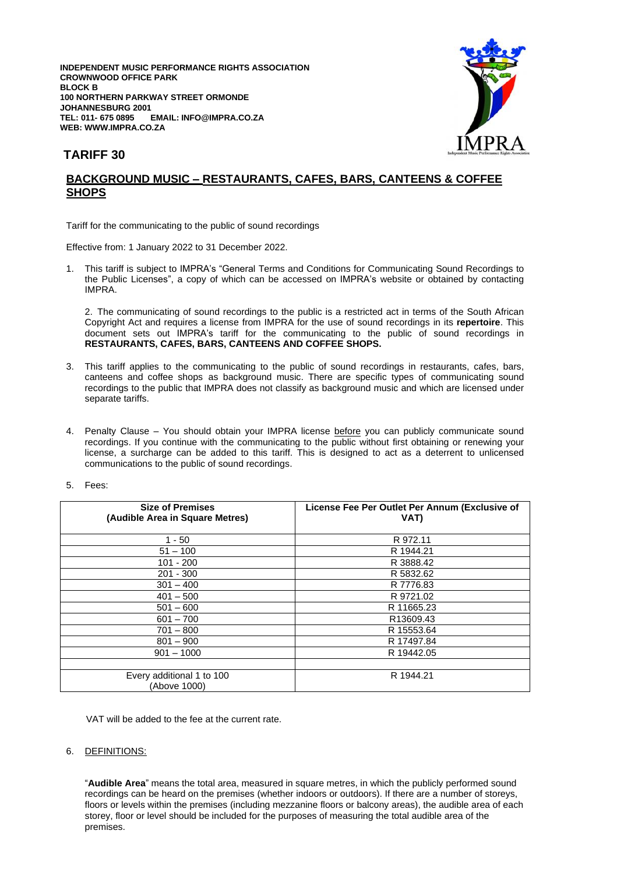**INDEPENDENT MUSIC PERFORMANCE RIGHTS ASSOCIATION CROWNWOOD OFFICE PARK BLOCK B 100 NORTHERN PARKWAY STREET ORMONDE JOHANNESBURG 2001**  $EMAIL: INFO@IMPRA.CO.ZA$ **WEB: WWW.IMPRA.CO.ZA**



## **TARIFF 30**

## **BACKGROUND MUSIC – RESTAURANTS, CAFES, BARS, CANTEENS & COFFEE SHOPS**

Tariff for the communicating to the public of sound recordings

Effective from: 1 January 2022 to 31 December 2022.

1. This tariff is subject to IMPRA's "General Terms and Conditions for Communicating Sound Recordings to the Public Licenses", a copy of which can be accessed on IMPRA's website or obtained by contacting IMPRA.

2. The communicating of sound recordings to the public is a restricted act in terms of the South African Copyright Act and requires a license from IMPRA for the use of sound recordings in its **repertoire**. This document sets out IMPRA's tariff for the communicating to the public of sound recordings in **RESTAURANTS, CAFES, BARS, CANTEENS AND COFFEE SHOPS.**

- 3. This tariff applies to the communicating to the public of sound recordings in restaurants, cafes, bars, canteens and coffee shops as background music. There are specific types of communicating sound recordings to the public that IMPRA does not classify as background music and which are licensed under separate tariffs.
- 4. Penalty Clause You should obtain your IMPRA license before you can publicly communicate sound recordings. If you continue with the communicating to the public without first obtaining or renewing your license, a surcharge can be added to this tariff. This is designed to act as a deterrent to unlicensed communications to the public of sound recordings.
- 5. Fees:

| <b>Size of Premises</b><br>(Audible Area in Square Metres) | License Fee Per Outlet Per Annum (Exclusive of<br>VAT) |
|------------------------------------------------------------|--------------------------------------------------------|
| $1 - 50$                                                   | R 972.11                                               |
| $51 - 100$                                                 | R 1944.21                                              |
| $101 - 200$                                                | R 3888.42                                              |
| $201 - 300$                                                | R 5832.62                                              |
| $301 - 400$                                                | R 7776.83                                              |
| $401 - 500$                                                | R 9721.02                                              |
| $501 - 600$                                                | R 11665.23                                             |
| $601 - 700$                                                | R13609.43                                              |
| $701 - 800$                                                | R 15553.64                                             |
| $801 - 900$                                                | R 17497.84                                             |
| $901 - 1000$                                               | R 19442.05                                             |
|                                                            |                                                        |
| Every additional 1 to 100<br>(Above 1000)                  | R 1944.21                                              |

VAT will be added to the fee at the current rate.

## 6. DEFINITIONS:

"**Audible Area**" means the total area, measured in square metres, in which the publicly performed sound recordings can be heard on the premises (whether indoors or outdoors). If there are a number of storeys, floors or levels within the premises (including mezzanine floors or balcony areas), the audible area of each storey, floor or level should be included for the purposes of measuring the total audible area of the premises.